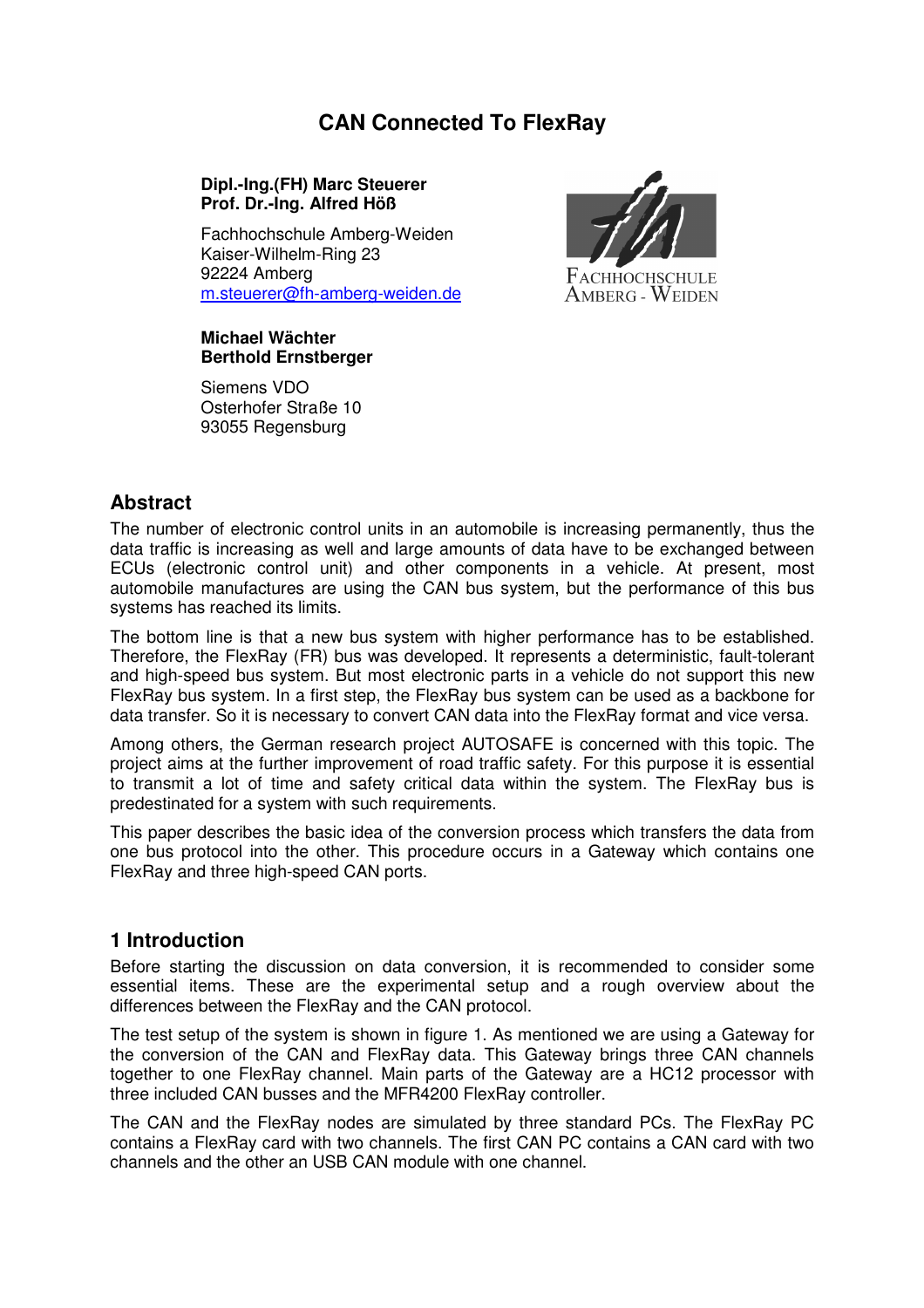# **CAN Connected To FlexRay**

#### **Dipl.-Ing.(FH) Marc Steuerer Prof. Dr.-Ing. Alfred Höß**

Fachhochschule Amberg-Weiden Kaiser-Wilhelm-Ring 23 92224 Amberg m.steuerer@fh-amberg-weiden.de



#### **Michael Wächter Berthold Ernstberger**

Siemens VDO Osterhofer Straße 10 93055 Regensburg

## **Abstract**

The number of electronic control units in an automobile is increasing permanently, thus the data traffic is increasing as well and large amounts of data have to be exchanged between ECUs (electronic control unit) and other components in a vehicle. At present, most automobile manufactures are using the CAN bus system, but the performance of this bus systems has reached its limits.

The bottom line is that a new bus system with higher performance has to be established. Therefore, the FlexRay (FR) bus was developed. It represents a deterministic, fault-tolerant and high-speed bus system. But most electronic parts in a vehicle do not support this new FlexRay bus system. In a first step, the FlexRay bus system can be used as a backbone for data transfer. So it is necessary to convert CAN data into the FlexRay format and vice versa.

Among others, the German research project AUTOSAFE is concerned with this topic. The project aims at the further improvement of road traffic safety. For this purpose it is essential to transmit a lot of time and safety critical data within the system. The FlexRay bus is predestinated for a system with such requirements.

This paper describes the basic idea of the conversion process which transfers the data from one bus protocol into the other. This procedure occurs in a Gateway which contains one FlexRay and three high-speed CAN ports.

### **1 Introduction**

Before starting the discussion on data conversion, it is recommended to consider some essential items. These are the experimental setup and a rough overview about the differences between the FlexRay and the CAN protocol.

The test setup of the system is shown in figure 1. As mentioned we are using a Gateway for the conversion of the CAN and FlexRay data. This Gateway brings three CAN channels together to one FlexRay channel. Main parts of the Gateway are a HC12 processor with three included CAN busses and the MFR4200 FlexRay controller.

The CAN and the FlexRay nodes are simulated by three standard PCs. The FlexRay PC contains a FlexRay card with two channels. The first CAN PC contains a CAN card with two channels and the other an USB CAN module with one channel.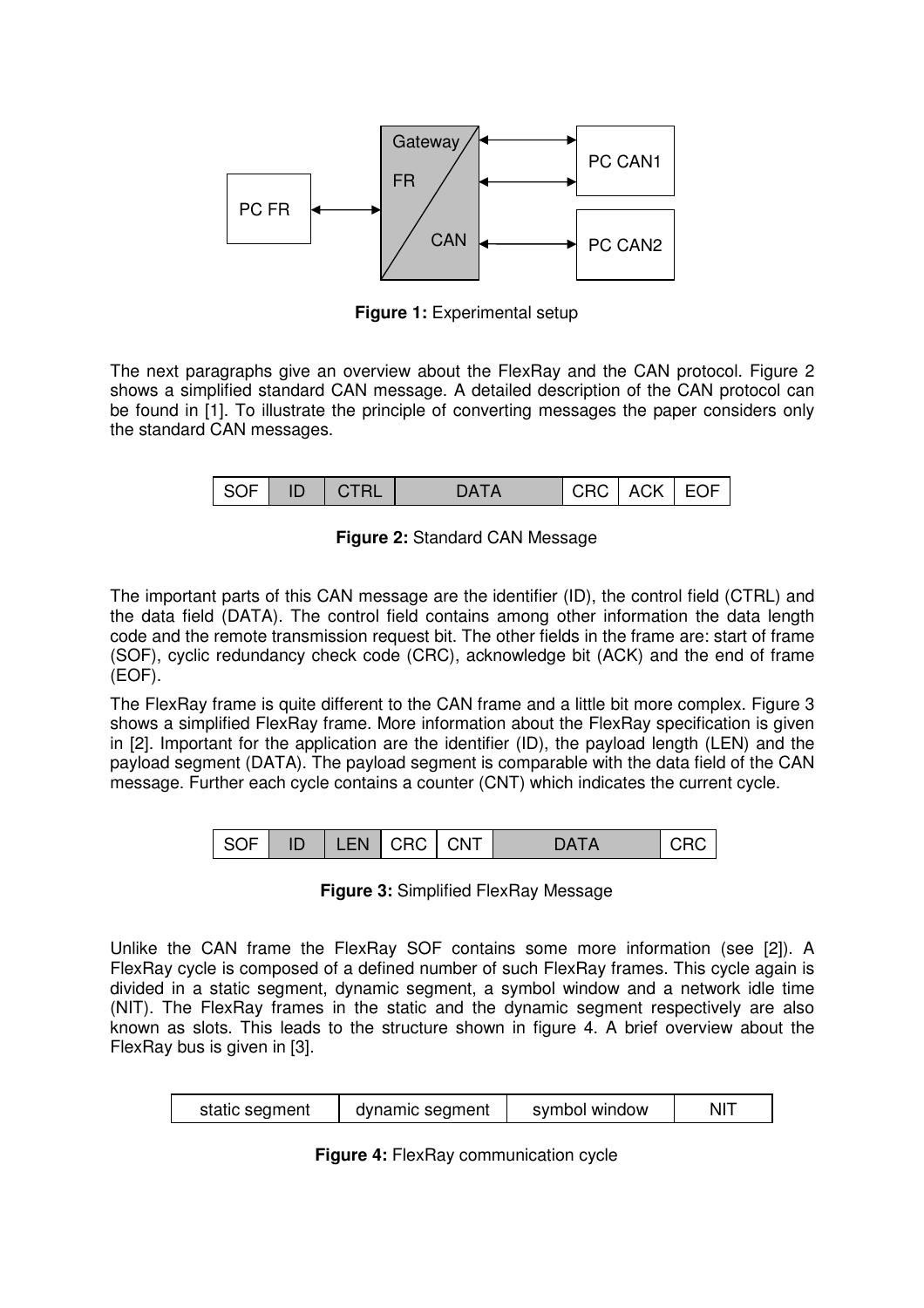

**Figure 1:** Experimental setup

The next paragraphs give an overview about the FlexRay and the CAN protocol. Figure 2 shows a simplified standard CAN message. A detailed description of the CAN protocol can be found in [1]. To illustrate the principle of converting messages the paper considers only the standard CAN messages.

| ∣ SOF | N ID. |  | DATA |  | CRC   ACK   EOF |  |
|-------|-------|--|------|--|-----------------|--|
|-------|-------|--|------|--|-----------------|--|

**Figure 2:** Standard CAN Message

The important parts of this CAN message are the identifier (ID), the control field (CTRL) and the data field (DATA). The control field contains among other information the data length code and the remote transmission request bit. The other fields in the frame are: start of frame (SOF), cyclic redundancy check code (CRC), acknowledge bit (ACK) and the end of frame (EOF).

The FlexRay frame is quite different to the CAN frame and a little bit more complex. Figure 3 shows a simplified FlexRay frame. More information about the FlexRay specification is given in [2]. Important for the application are the identifier (ID), the payload length (LEN) and the payload segment (DATA). The payload segment is comparable with the data field of the CAN message. Further each cycle contains a counter (CNT) which indicates the current cycle.



**Figure 3:** Simplified FlexRay Message

Unlike the CAN frame the FlexRay SOF contains some more information (see [2]). A FlexRay cycle is composed of a defined number of such FlexRay frames. This cycle again is divided in a static segment, dynamic segment, a symbol window and a network idle time (NIT). The FlexRay frames in the static and the dynamic segment respectively are also known as slots. This leads to the structure shown in figure 4. A brief overview about the FlexRay bus is given in [3].

| static segment | dynamic segment | symbol window | NIT |
|----------------|-----------------|---------------|-----|
|----------------|-----------------|---------------|-----|

**Figure 4:** FlexRay communication cycle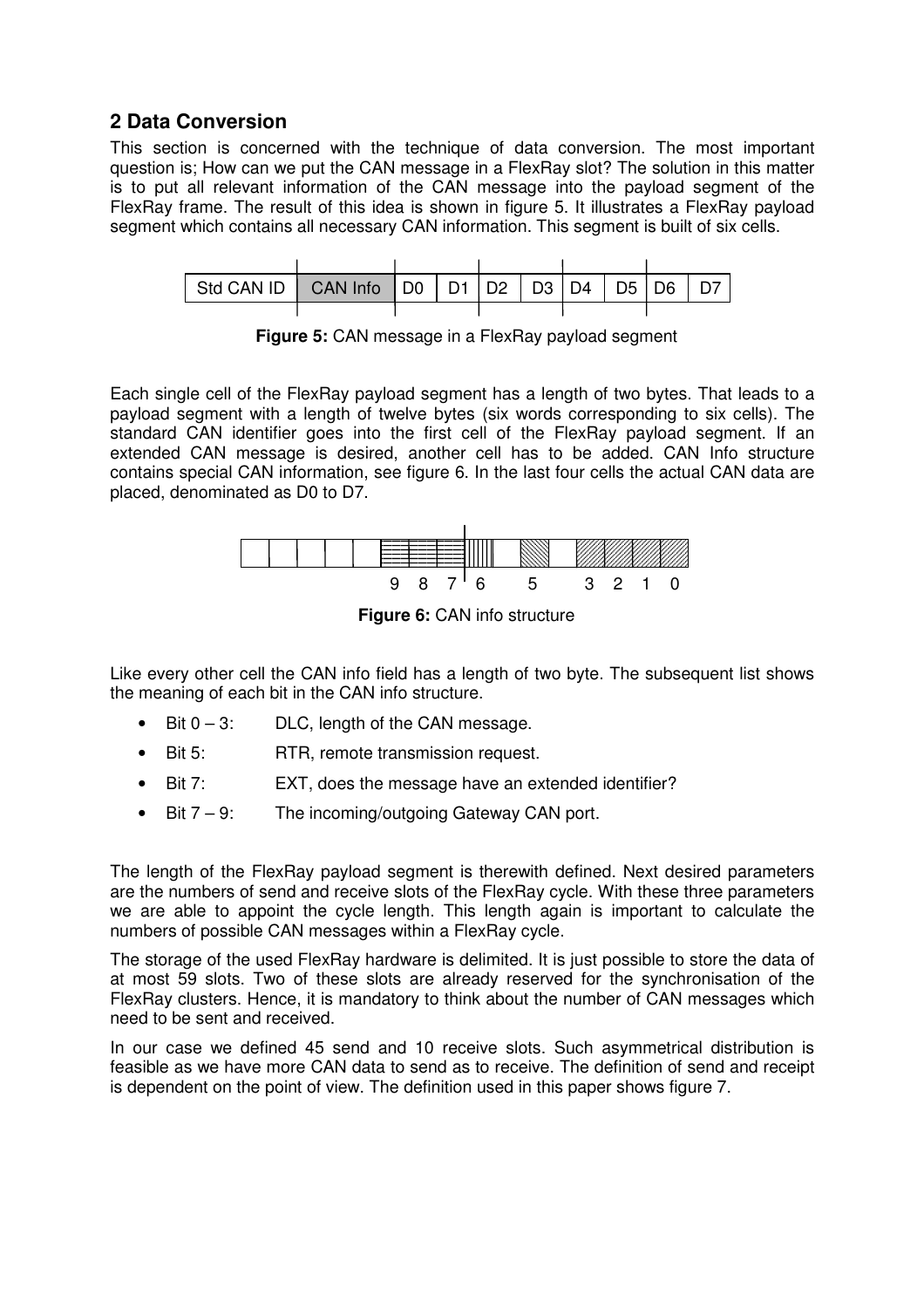## **2 Data Conversion**

This section is concerned with the technique of data conversion. The most important question is; How can we put the CAN message in a FlexRay slot? The solution in this matter is to put all relevant information of the CAN message into the payload segment of the FlexRay frame. The result of this idea is shown in figure 5. It illustrates a FlexRay payload segment which contains all necessary CAN information. This segment is built of six cells.



**Figure 5:** CAN message in a FlexRay payload segment

Each single cell of the FlexRay payload segment has a length of two bytes. That leads to a payload segment with a length of twelve bytes (six words corresponding to six cells). The standard CAN identifier goes into the first cell of the FlexRay payload segment. If an extended CAN message is desired, another cell has to be added. CAN Info structure contains special CAN information, see figure 6. In the last four cells the actual CAN data are placed, denominated as D0 to D7.



**Figure 6:** CAN info structure

Like every other cell the CAN info field has a length of two byte. The subsequent list shows the meaning of each bit in the CAN info structure.

- Bit  $0 3$ : DLC, length of the CAN message.
- Bit 5: RTR, remote transmission request.
- Bit 7: EXT, does the message have an extended identifier?
- Bit  $7 9$ : The incoming/outgoing Gateway CAN port.

The length of the FlexRay payload segment is therewith defined. Next desired parameters are the numbers of send and receive slots of the FlexRay cycle. With these three parameters we are able to appoint the cycle length. This length again is important to calculate the numbers of possible CAN messages within a FlexRay cycle.

The storage of the used FlexRay hardware is delimited. It is just possible to store the data of at most 59 slots. Two of these slots are already reserved for the synchronisation of the FlexRay clusters. Hence, it is mandatory to think about the number of CAN messages which need to be sent and received.

In our case we defined 45 send and 10 receive slots. Such asymmetrical distribution is feasible as we have more CAN data to send as to receive. The definition of send and receipt is dependent on the point of view. The definition used in this paper shows figure 7.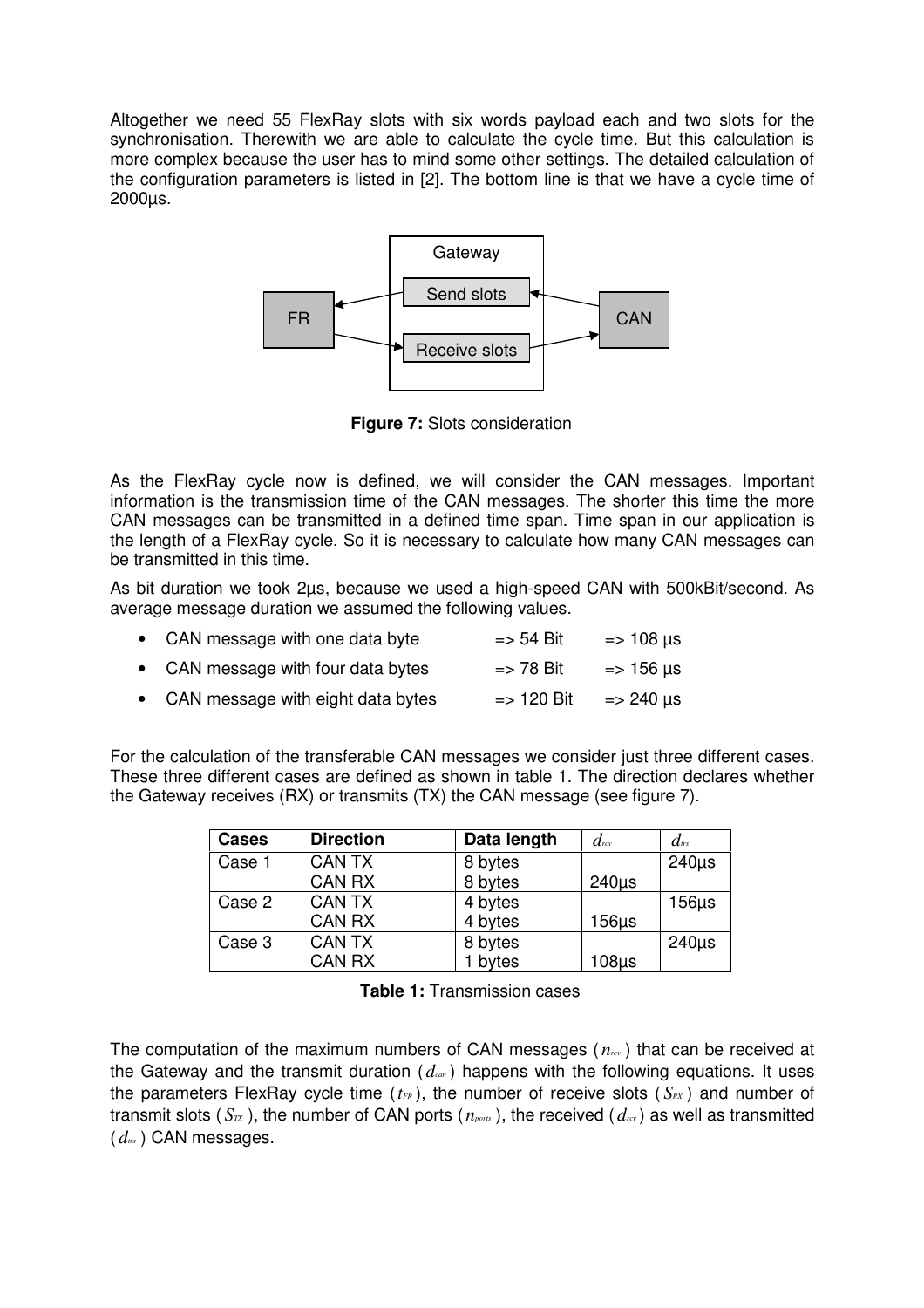Altogether we need 55 FlexRay slots with six words payload each and two slots for the synchronisation. Therewith we are able to calculate the cycle time. But this calculation is more complex because the user has to mind some other settings. The detailed calculation of the configuration parameters is listed in [2]. The bottom line is that we have a cycle time of 2000µs.



**Figure 7:** Slots consideration

As the FlexRay cycle now is defined, we will consider the CAN messages. Important information is the transmission time of the CAN messages. The shorter this time the more CAN messages can be transmitted in a defined time span. Time span in our application is the length of a FlexRay cycle. So it is necessary to calculate how many CAN messages can be transmitted in this time.

As bit duration we took 2µs, because we used a high-speed CAN with 500kBit/second. As average message duration we assumed the following values.

| • CAN message with one data byte    | $\Rightarrow$ 54 Bit  | $=$ 108 $\mu$ s      |
|-------------------------------------|-----------------------|----------------------|
| • CAN message with four data bytes  | $\Rightarrow$ 78 Bit  | $=$ 156 $\mu$ s      |
| • CAN message with eight data bytes | $\Rightarrow$ 120 Bit | $\Rightarrow$ 240 µs |

For the calculation of the transferable CAN messages we consider just three different cases. These three different cases are defined as shown in table 1. The direction declares whether the Gateway receives (RX) or transmits (TX) the CAN message (see figure 7).

| <b>Cases</b> | <b>Direction</b> | Data length | $d_{\mathbb{R}}$ | $d_{\text{trs}}$ |
|--------------|------------------|-------------|------------------|------------------|
| Case 1       | <b>CAN TX</b>    | 8 bytes     |                  | $240\mu s$       |
|              | <b>CAN RX</b>    | 8 bytes     | $240\mu s$       |                  |
| Case 2       | <b>CAN TX</b>    | 4 bytes     |                  | $156\mu s$       |
|              | <b>CAN RX</b>    | 4 bytes     | $156\mu s$       |                  |
| Case 3       | <b>CAN TX</b>    | 8 bytes     |                  | $240\mu s$       |
|              | <b>CAN RX</b>    | bytes       | $108\mu$ s       |                  |

**Table 1:** Transmission cases

The computation of the maximum numbers of CAN messages ( *nrcv* ) that can be received at the Gateway and the transmit duration ( *dcan* ) happens with the following equations. It uses the parameters FlexRay cycle time  $(t_{FR})$ , the number of receive slots  $(S_{RX})$  and number of transmit slots ( $S_{\tau X}$ ), the number of CAN ports ( $n_{\text{ports}}$ ), the received ( $d_{\tau Y}$ ) as well as transmitted ( *dtrs* ) CAN messages.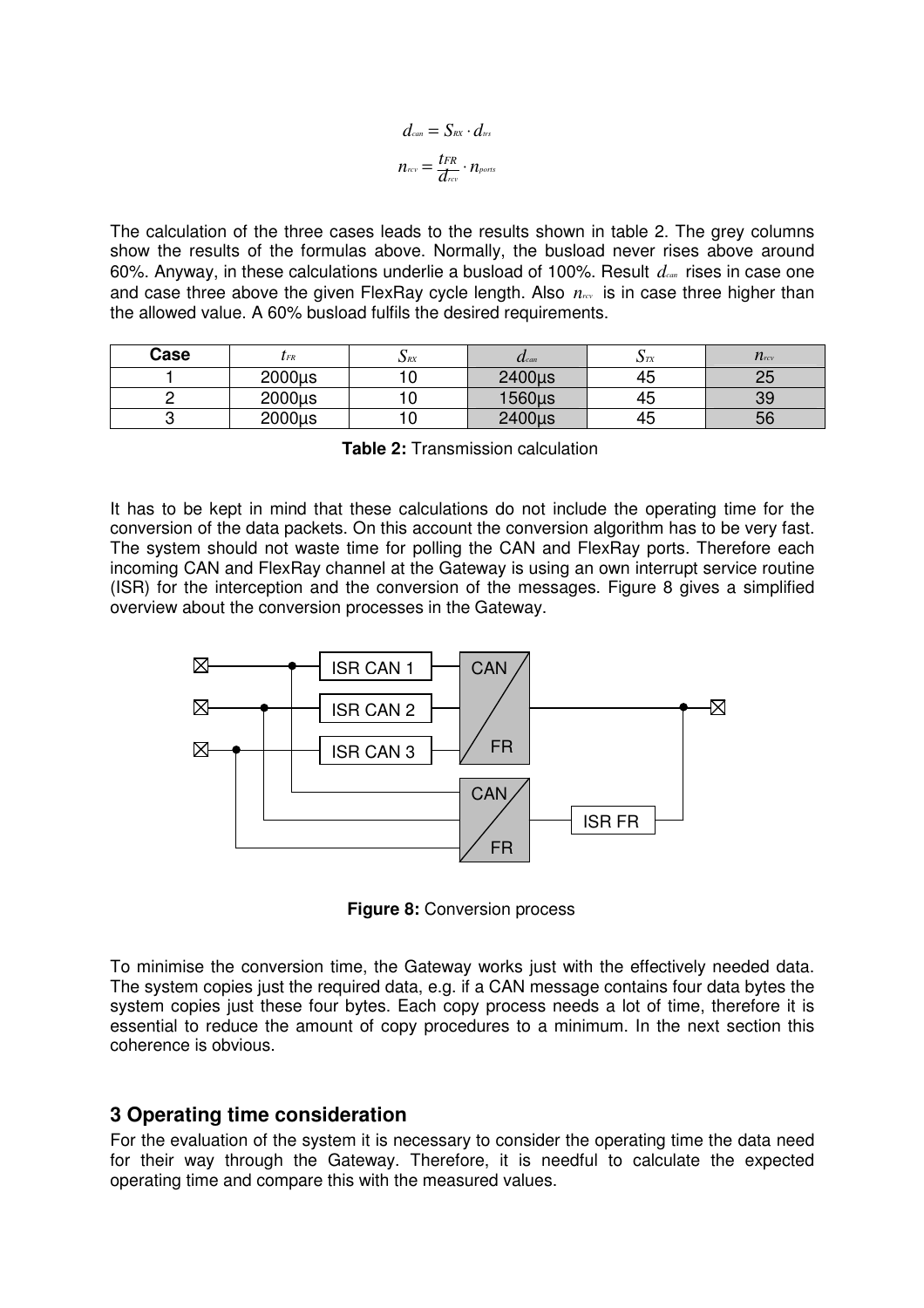$$
d_{\text{can}} = S_{\text{RX}} \cdot d_{\text{irs}}
$$

$$
n_{\text{rcv}} = \frac{t_{\text{FR}}}{d_{\text{rcv}}} \cdot n_{\text{ports}}
$$

The calculation of the three cases leads to the results shown in table 2. The grey columns show the results of the formulas above. Normally, the busload never rises above around 60%. Anyway, in these calculations underlie a busload of 100%. Result *dcan* rises in case one and case three above the given FlexRay cycle length. Also  $n_{\text{rev}}$  is in case three higher than the allowed value. A 60% busload fulfils the desired requirements.

| Case | $\iota$ fr | $\mathbf{D}$ RX | $\boldsymbol{\mathcal{U}}$ can | ΩTX | $n_{\rm rcv}$ |
|------|------------|-----------------|--------------------------------|-----|---------------|
|      | 2000µs     |                 | 2400µs                         | 45  | ີ             |
|      | 2000µs     |                 | 1560us                         | 45  | 39            |
|      | 2000µs     |                 | 2400µs                         | 45  | 56            |

**Table 2:** Transmission calculation

It has to be kept in mind that these calculations do not include the operating time for the conversion of the data packets. On this account the conversion algorithm has to be very fast. The system should not waste time for polling the CAN and FlexRay ports. Therefore each incoming CAN and FlexRay channel at the Gateway is using an own interrupt service routine (ISR) for the interception and the conversion of the messages. Figure 8 gives a simplified overview about the conversion processes in the Gateway.



**Figure 8:** Conversion process

To minimise the conversion time, the Gateway works just with the effectively needed data. The system copies just the required data, e.g. if a CAN message contains four data bytes the system copies just these four bytes. Each copy process needs a lot of time, therefore it is essential to reduce the amount of copy procedures to a minimum. In the next section this coherence is obvious.

## **3 Operating time consideration**

For the evaluation of the system it is necessary to consider the operating time the data need for their way through the Gateway. Therefore, it is needful to calculate the expected operating time and compare this with the measured values.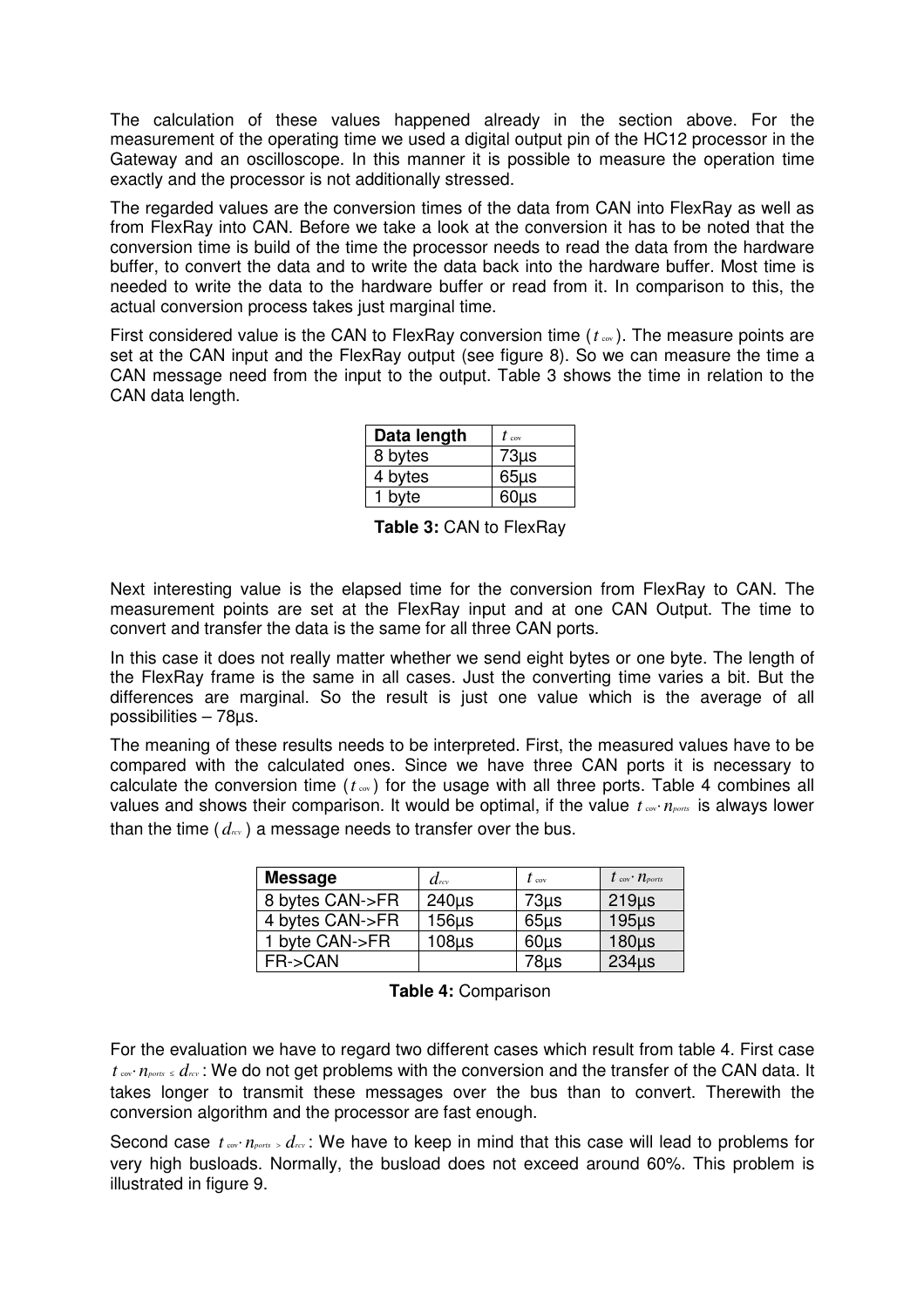The calculation of these values happened already in the section above. For the measurement of the operating time we used a digital output pin of the HC12 processor in the Gateway and an oscilloscope. In this manner it is possible to measure the operation time exactly and the processor is not additionally stressed.

The regarded values are the conversion times of the data from CAN into FlexRay as well as from FlexRay into CAN. Before we take a look at the conversion it has to be noted that the conversion time is build of the time the processor needs to read the data from the hardware buffer, to convert the data and to write the data back into the hardware buffer. Most time is needed to write the data to the hardware buffer or read from it. In comparison to this, the actual conversion process takes just marginal time.

First considered value is the CAN to FlexRay conversion time ( $t_{\text{ew}}$ ). The measure points are set at the CAN input and the FlexRay output (see figure 8). So we can measure the time a CAN message need from the input to the output. Table 3 shows the time in relation to the CAN data length.

| Data length | $t_{\rm cov}$ |
|-------------|---------------|
| 8 bytes     | $73\mu s$     |
| 4 bytes     | $65\mu s$     |
| 1 byte      | $60\mu s$     |

**Table 3:** CAN to FlexRay

Next interesting value is the elapsed time for the conversion from FlexRay to CAN. The measurement points are set at the FlexRay input and at one CAN Output. The time to convert and transfer the data is the same for all three CAN ports.

In this case it does not really matter whether we send eight bytes or one byte. The length of the FlexRay frame is the same in all cases. Just the converting time varies a bit. But the differences are marginal. So the result is just one value which is the average of all possibilities – 78µs.

The meaning of these results needs to be interpreted. First, the measured values have to be compared with the calculated ones. Since we have three CAN ports it is necessary to calculate the conversion time  $(t_{\infty})$  for the usage with all three ports. Table 4 combines all values and shows their comparison. It would be optimal, if the value *t* <sub>cov</sub>⋅ *n*<sub>*ports*</sub> is always lower than the time  $(d_{\text{rev}})$  a message needs to transfer over the bus.

| <b>Message</b>  | $d_{\mathit{rev}}$ | $t_{\rm cov}$ | $t_{\rm cov}\cdot n_{\rm ports}$ |
|-----------------|--------------------|---------------|----------------------------------|
| 8 bytes CAN->FR | $240\mu s$         | $73\mu s$     | $219\mu s$                       |
| 4 bytes CAN->FR | $156\mu s$         | $65\mu s$     | $195µ$ s                         |
| 1 byte CAN->FR  | $108µ$ s           | $60\mu s$     | $180\mu s$                       |
| FR->CAN         |                    | 78µs          | $234\mu s$                       |

**Table 4:** Comparison

For the evaluation we have to regard two different cases which result from table 4. First case *t* cov⋅ *n*<sub>*ports* ≤ *d<sub>rcv</sub>* : We do not get problems with the conversion and the transfer of the CAN data. It</sub> takes longer to transmit these messages over the bus than to convert. Therewith the conversion algorithm and the processor are fast enough.

Second case *t* and *n*<sub>ports</sub> > *d<sub>rcv</sub>* : We have to keep in mind that this case will lead to problems for very high busloads. Normally, the busload does not exceed around 60%. This problem is illustrated in figure 9.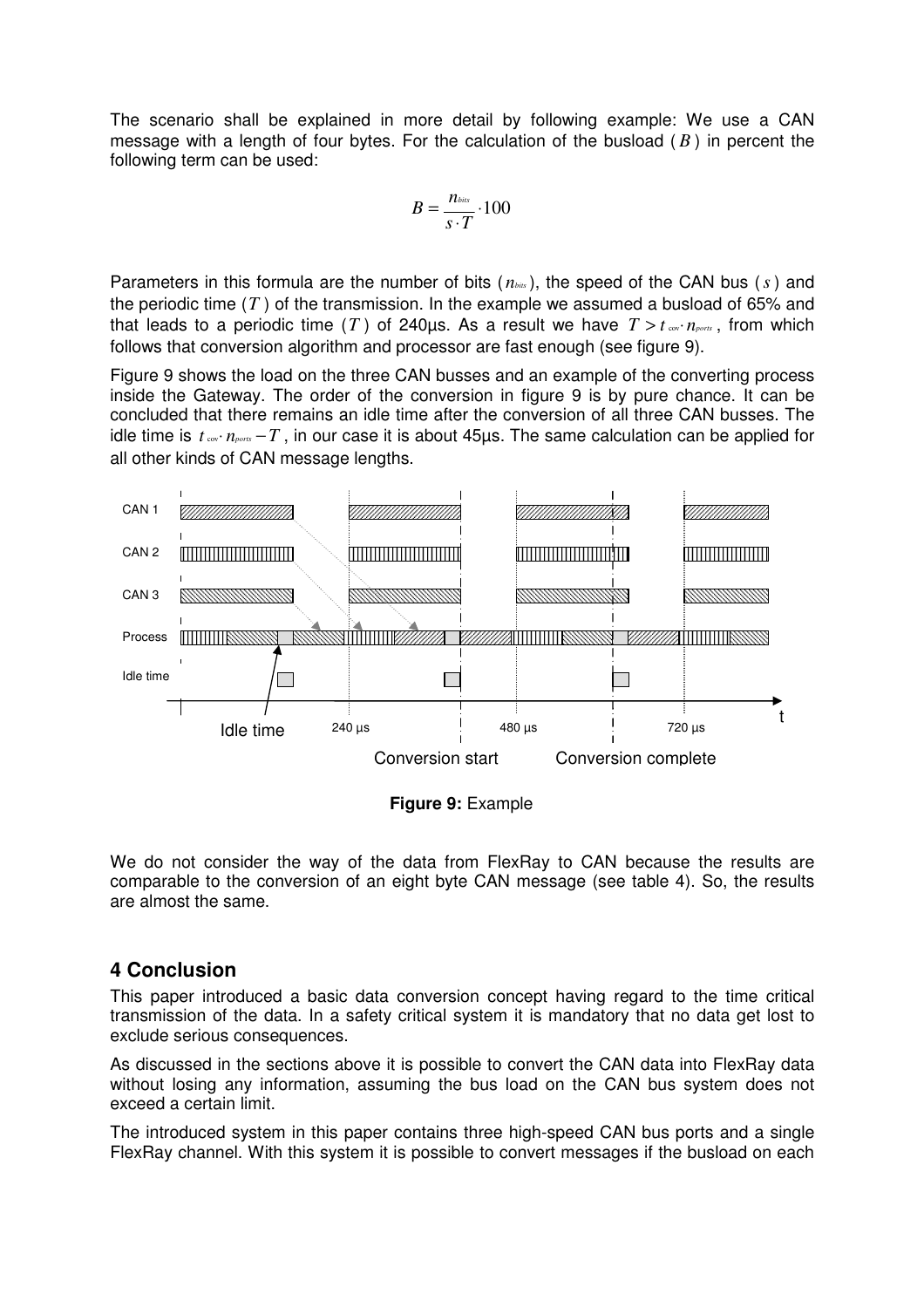The scenario shall be explained in more detail by following example: We use a CAN message with a length of four bytes. For the calculation of the busload ( *B* ) in percent the following term can be used:

$$
B=\frac{n_{\text{bias}}}{s\cdot T}\cdot 100
$$

Parameters in this formula are the number of bits ( *nbits* ), the speed of the CAN bus (*s*) and the periodic time (*T* ) of the transmission. In the example we assumed a busload of 65% and that leads to a periodic time (*T*) of 240µs. As a result we have  $T > t_{\text{cov}} \cdot n_{\text{ports}}$ , from which follows that conversion algorithm and processor are fast enough (see figure 9).

Figure 9 shows the load on the three CAN busses and an example of the converting process inside the Gateway. The order of the conversion in figure 9 is by pure chance. It can be concluded that there remains an idle time after the conversion of all three CAN busses. The idle time is  $t_{\text{cov}}\cdot n_{\text{post}} - T$ , in our case it is about 45 $\mu$ s. The same calculation can be applied for all other kinds of CAN message lengths.



**Figure 9:** Example

We do not consider the way of the data from FlexRay to CAN because the results are comparable to the conversion of an eight byte CAN message (see table 4). So, the results are almost the same.

## **4 Conclusion**

This paper introduced a basic data conversion concept having regard to the time critical transmission of the data. In a safety critical system it is mandatory that no data get lost to exclude serious consequences.

As discussed in the sections above it is possible to convert the CAN data into FlexRay data without losing any information, assuming the bus load on the CAN bus system does not exceed a certain limit.

The introduced system in this paper contains three high-speed CAN bus ports and a single FlexRay channel. With this system it is possible to convert messages if the busload on each